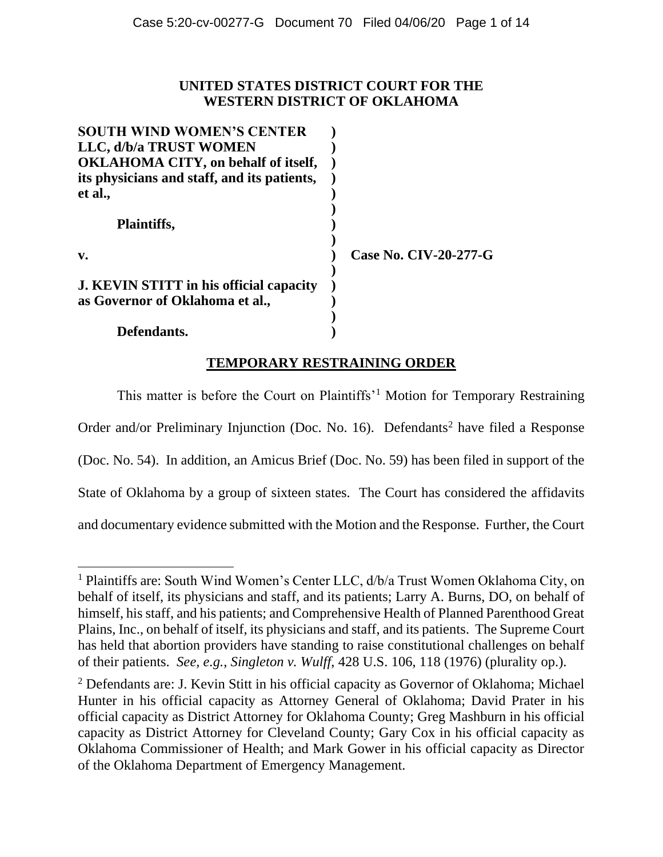## **UNITED STATES DISTRICT COURT FOR THE WESTERN DISTRICT OF OKLAHOMA**

| <b>SOUTH WIND WOMEN'S CENTER</b>                                                  |                       |
|-----------------------------------------------------------------------------------|-----------------------|
| LLC, d/b/a TRUST WOMEN                                                            |                       |
| <b>OKLAHOMA CITY, on behalf of itself,</b>                                        |                       |
| its physicians and staff, and its patients,                                       |                       |
| et al.,                                                                           |                       |
| Plaintiffs,                                                                       |                       |
| v.                                                                                | Case No. CIV-20-277-G |
| <b>J. KEVIN STITT in his official capacity</b><br>as Governor of Oklahoma et al., |                       |
| Defendants.                                                                       |                       |

# **TEMPORARY RESTRAINING ORDER**

This matter is before the Court on Plaintiffs'<sup>1</sup> Motion for Temporary Restraining Order and/or Preliminary Injunction (Doc. No. 16). Defendants<sup>2</sup> have filed a Response (Doc. No. 54). In addition, an Amicus Brief (Doc. No. 59) has been filed in support of the State of Oklahoma by a group of sixteen states. The Court has considered the affidavits and documentary evidence submitted with the Motion and the Response. Further, the Court

<sup>1</sup> Plaintiffs are: South Wind Women's Center LLC, d/b/a Trust Women Oklahoma City, on behalf of itself, its physicians and staff, and its patients; Larry A. Burns, DO, on behalf of himself, his staff, and his patients; and Comprehensive Health of Planned Parenthood Great Plains, Inc., on behalf of itself, its physicians and staff, and its patients. The Supreme Court has held that abortion providers have standing to raise constitutional challenges on behalf of their patients. *See, e.g.*, *Singleton v. Wulff*, 428 U.S. 106, 118 (1976) (plurality op.).

<sup>&</sup>lt;sup>2</sup> Defendants are: J. Kevin Stitt in his official capacity as Governor of Oklahoma; Michael Hunter in his official capacity as Attorney General of Oklahoma; David Prater in his official capacity as District Attorney for Oklahoma County; Greg Mashburn in his official capacity as District Attorney for Cleveland County; Gary Cox in his official capacity as Oklahoma Commissioner of Health; and Mark Gower in his official capacity as Director of the Oklahoma Department of Emergency Management.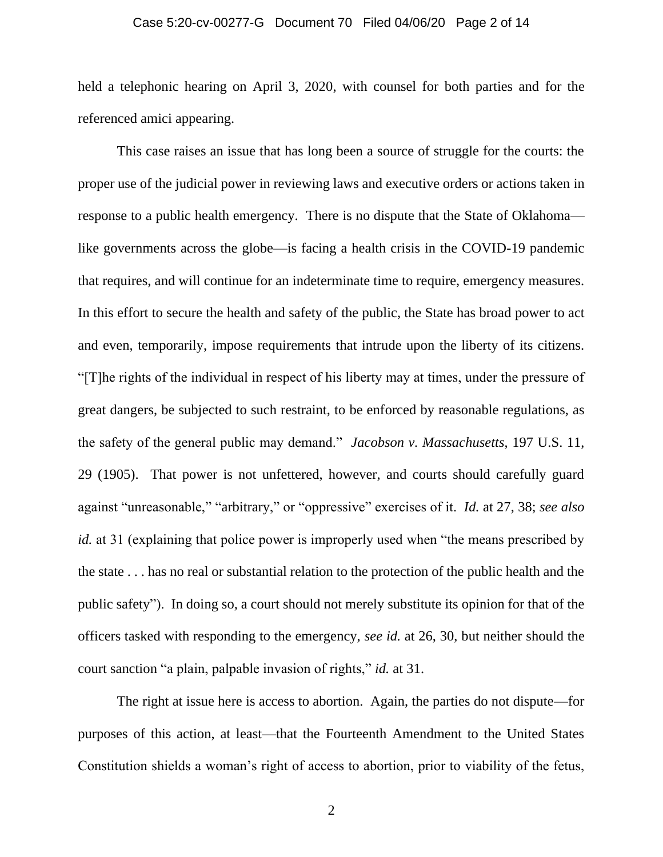## Case 5:20-cv-00277-G Document 70 Filed 04/06/20 Page 2 of 14

held a telephonic hearing on April 3, 2020, with counsel for both parties and for the referenced amici appearing.

This case raises an issue that has long been a source of struggle for the courts: the proper use of the judicial power in reviewing laws and executive orders or actions taken in response to a public health emergency. There is no dispute that the State of Oklahoma like governments across the globe—is facing a health crisis in the COVID-19 pandemic that requires, and will continue for an indeterminate time to require, emergency measures. In this effort to secure the health and safety of the public, the State has broad power to act and even, temporarily, impose requirements that intrude upon the liberty of its citizens. "[T]he rights of the individual in respect of his liberty may at times, under the pressure of great dangers, be subjected to such restraint, to be enforced by reasonable regulations, as the safety of the general public may demand." *Jacobson v. Massachusetts*, 197 U.S. 11, 29 (1905). That power is not unfettered, however, and courts should carefully guard against "unreasonable," "arbitrary," or "oppressive" exercises of it. *Id.* at 27, 38; *see also id.* at 31 (explaining that police power is improperly used when "the means prescribed by the state . . . has no real or substantial relation to the protection of the public health and the public safety"). In doing so, a court should not merely substitute its opinion for that of the officers tasked with responding to the emergency, *see id.* at 26, 30, but neither should the court sanction "a plain, palpable invasion of rights," *id.* at 31.

The right at issue here is access to abortion. Again, the parties do not dispute—for purposes of this action, at least—that the Fourteenth Amendment to the United States Constitution shields a woman's right of access to abortion, prior to viability of the fetus,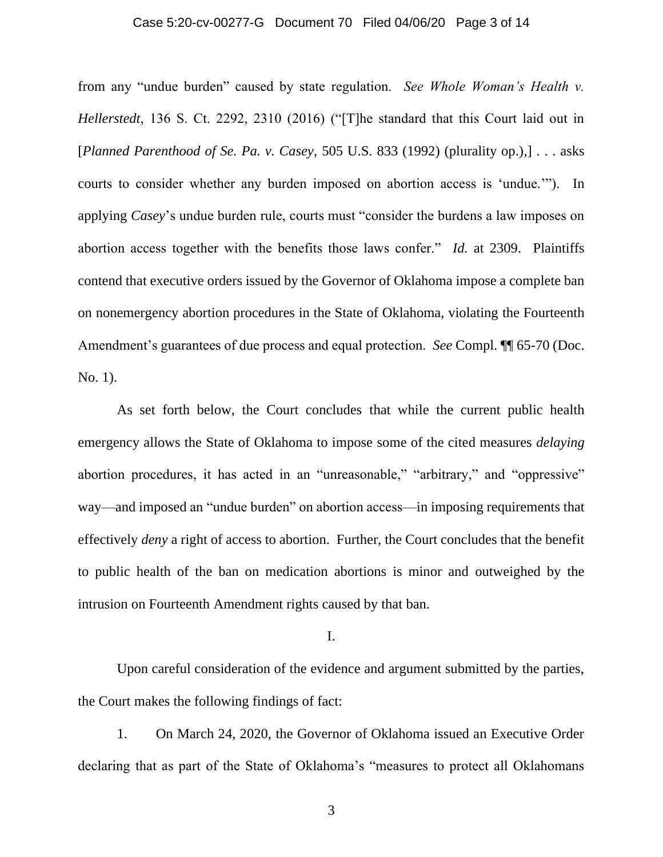### Case 5:20-cv-00277-G Document 70 Filed 04/06/20 Page 3 of 14

from any "undue burden" caused by state regulation. *See Whole Woman's Health v. Hellerstedt*, 136 S. Ct. 2292, 2310 (2016) ("[T]he standard that this Court laid out in [*Planned Parenthood of Se. Pa. v. Casey*, 505 U.S. 833 (1992) (plurality op.),] . . . asks courts to consider whether any burden imposed on abortion access is 'undue.'"). In applying *Casey*'s undue burden rule, courts must "consider the burdens a law imposes on abortion access together with the benefits those laws confer." *Id.* at 2309. Plaintiffs contend that executive orders issued by the Governor of Oklahoma impose a complete ban on nonemergency abortion procedures in the State of Oklahoma, violating the Fourteenth Amendment's guarantees of due process and equal protection. *See* Compl. ¶¶ 65-70 (Doc. No. 1).

As set forth below, the Court concludes that while the current public health emergency allows the State of Oklahoma to impose some of the cited measures *delaying*  abortion procedures, it has acted in an "unreasonable," "arbitrary," and "oppressive" way—and imposed an "undue burden" on abortion access—in imposing requirements that effectively *deny* a right of access to abortion. Further, the Court concludes that the benefit to public health of the ban on medication abortions is minor and outweighed by the intrusion on Fourteenth Amendment rights caused by that ban.

I.

Upon careful consideration of the evidence and argument submitted by the parties, the Court makes the following findings of fact:

1. On March 24, 2020, the Governor of Oklahoma issued an Executive Order declaring that as part of the State of Oklahoma's "measures to protect all Oklahomans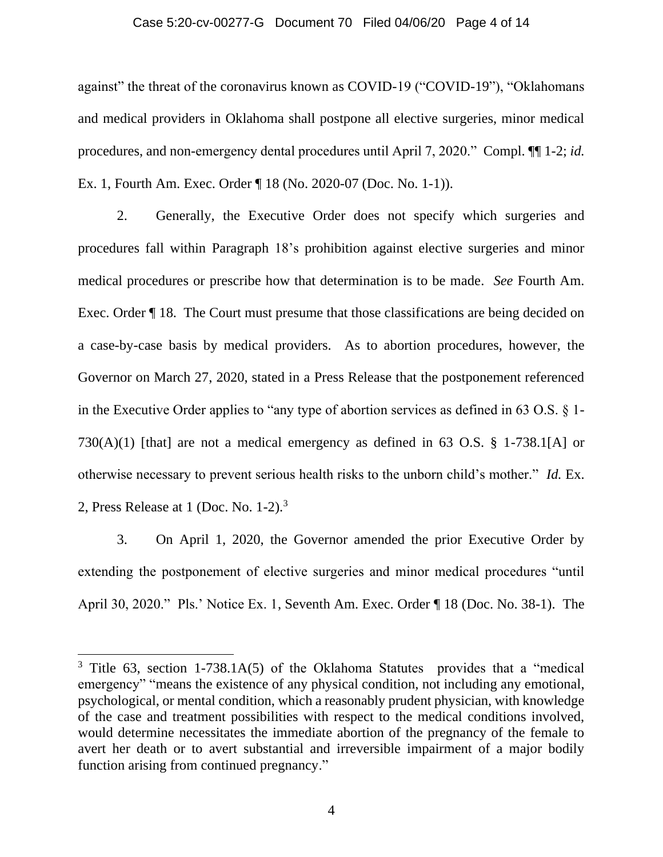### Case 5:20-cv-00277-G Document 70 Filed 04/06/20 Page 4 of 14

against" the threat of the coronavirus known as COVID-19 ("COVID-19"), "Oklahomans and medical providers in Oklahoma shall postpone all elective surgeries, minor medical procedures, and non-emergency dental procedures until April 7, 2020." Compl. ¶¶ 1-2; *id.* Ex. 1, Fourth Am. Exec. Order ¶ 18 (No. 2020-07 (Doc. No. 1-1)).

2. Generally, the Executive Order does not specify which surgeries and procedures fall within Paragraph 18's prohibition against elective surgeries and minor medical procedures or prescribe how that determination is to be made. *See* Fourth Am. Exec. Order  $\P$  18. The Court must presume that those classifications are being decided on a case-by-case basis by medical providers. As to abortion procedures, however, the Governor on March 27, 2020, stated in a Press Release that the postponement referenced in the Executive Order applies to "any type of abortion services as defined in 63 O.S. § 1- 730(A)(1) [that] are not a medical emergency as defined in 63 O.S.  $\S$  1-738.1[A] or otherwise necessary to prevent serious health risks to the unborn child's mother." *Id.* Ex. 2, Press Release at 1 (Doc. No. 1-2).<sup>3</sup>

3. On April 1, 2020, the Governor amended the prior Executive Order by extending the postponement of elective surgeries and minor medical procedures "until April 30, 2020." Pls.' Notice Ex. 1, Seventh Am. Exec. Order ¶ 18 (Doc. No. 38-1). The

<sup>&</sup>lt;sup>3</sup> Title 63, section 1-738.1A(5) of the Oklahoma Statutes provides that a "medical" emergency" "means the existence of any physical condition, not including any emotional, psychological, or mental condition, which a reasonably prudent physician, with knowledge of the case and treatment possibilities with respect to the medical conditions involved, would determine necessitates the immediate abortion of the pregnancy of the female to avert her death or to avert substantial and irreversible impairment of a major bodily function arising from continued pregnancy."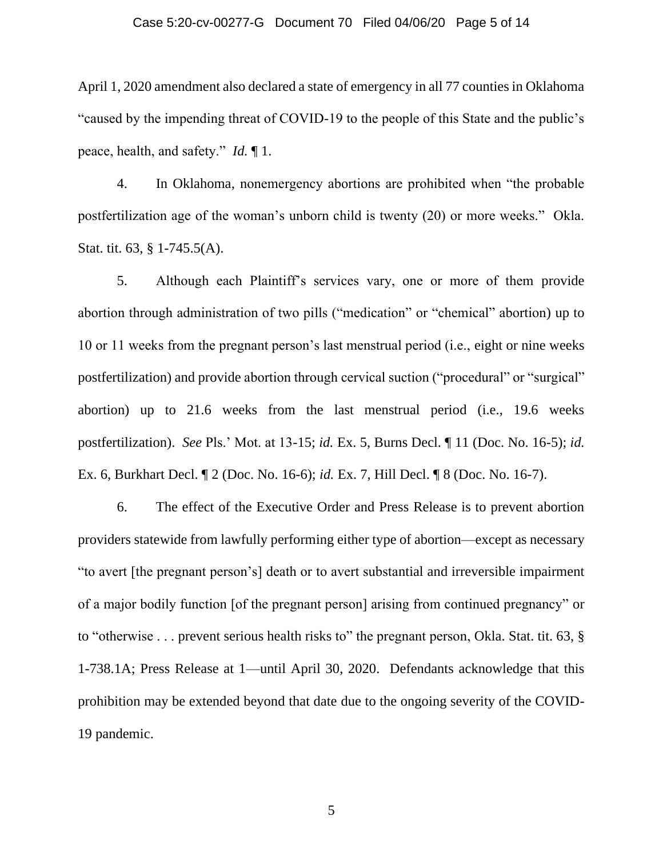## Case 5:20-cv-00277-G Document 70 Filed 04/06/20 Page 5 of 14

April 1, 2020 amendment also declared a state of emergency in all 77 counties in Oklahoma "caused by the impending threat of COVID-19 to the people of this State and the public's peace, health, and safety." *Id.* ¶ 1.

4. In Oklahoma, nonemergency abortions are prohibited when "the probable postfertilization age of the woman's unborn child is twenty (20) or more weeks." Okla. Stat. tit. 63, § 1-745.5(A).

5. Although each Plaintiff's services vary, one or more of them provide abortion through administration of two pills ("medication" or "chemical" abortion) up to 10 or 11 weeks from the pregnant person's last menstrual period (i.e., eight or nine weeks postfertilization) and provide abortion through cervical suction ("procedural" or "surgical" abortion) up to 21.6 weeks from the last menstrual period (i.e., 19.6 weeks postfertilization). *See* Pls.' Mot. at 13-15; *id.* Ex. 5, Burns Decl. ¶ 11 (Doc. No. 16-5); *id.* Ex. 6, Burkhart Decl. ¶ 2 (Doc. No. 16-6); *id.* Ex. 7, Hill Decl. ¶ 8 (Doc. No. 16-7).

6. The effect of the Executive Order and Press Release is to prevent abortion providers statewide from lawfully performing either type of abortion—except as necessary "to avert [the pregnant person's] death or to avert substantial and irreversible impairment of a major bodily function [of the pregnant person] arising from continued pregnancy" or to "otherwise . . . prevent serious health risks to" the pregnant person, Okla. Stat. tit. 63, § 1-738.1A; Press Release at 1—until April 30, 2020. Defendants acknowledge that this prohibition may be extended beyond that date due to the ongoing severity of the COVID-19 pandemic.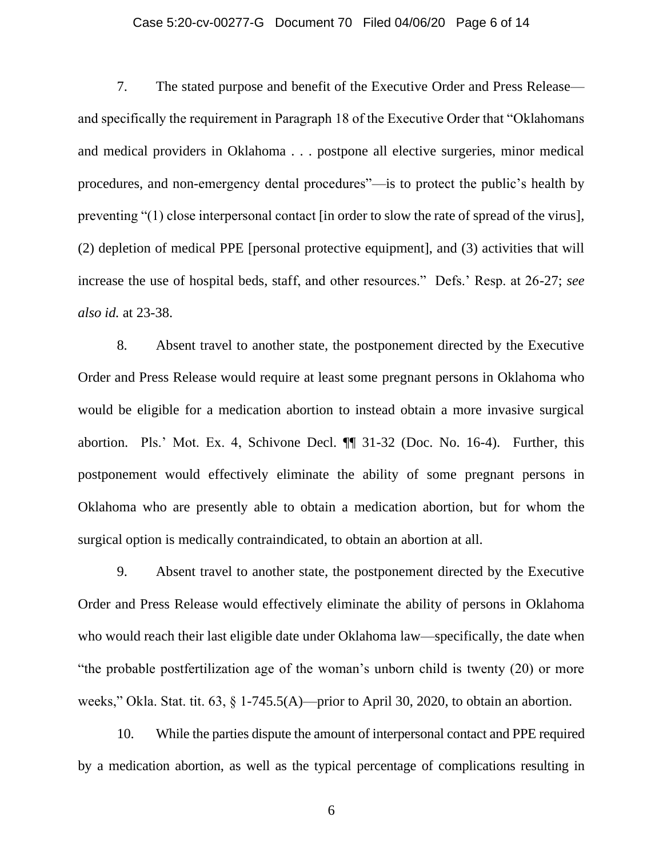## Case 5:20-cv-00277-G Document 70 Filed 04/06/20 Page 6 of 14

7. The stated purpose and benefit of the Executive Order and Press Release and specifically the requirement in Paragraph 18 of the Executive Order that "Oklahomans and medical providers in Oklahoma . . . postpone all elective surgeries, minor medical procedures, and non-emergency dental procedures"—is to protect the public's health by preventing "(1) close interpersonal contact [in order to slow the rate of spread of the virus], (2) depletion of medical PPE [personal protective equipment], and (3) activities that will increase the use of hospital beds, staff, and other resources." Defs.' Resp. at 26-27; *see also id.* at 23-38.

8. Absent travel to another state, the postponement directed by the Executive Order and Press Release would require at least some pregnant persons in Oklahoma who would be eligible for a medication abortion to instead obtain a more invasive surgical abortion. Pls.' Mot. Ex. 4, Schivone Decl. ¶¶ 31-32 (Doc. No. 16-4). Further, this postponement would effectively eliminate the ability of some pregnant persons in Oklahoma who are presently able to obtain a medication abortion, but for whom the surgical option is medically contraindicated, to obtain an abortion at all.

9. Absent travel to another state, the postponement directed by the Executive Order and Press Release would effectively eliminate the ability of persons in Oklahoma who would reach their last eligible date under Oklahoma law—specifically, the date when "the probable postfertilization age of the woman's unborn child is twenty (20) or more weeks," Okla. Stat. tit. 63, § 1-745.5(A)—prior to April 30, 2020, to obtain an abortion.

10. While the parties dispute the amount of interpersonal contact and PPE required by a medication abortion, as well as the typical percentage of complications resulting in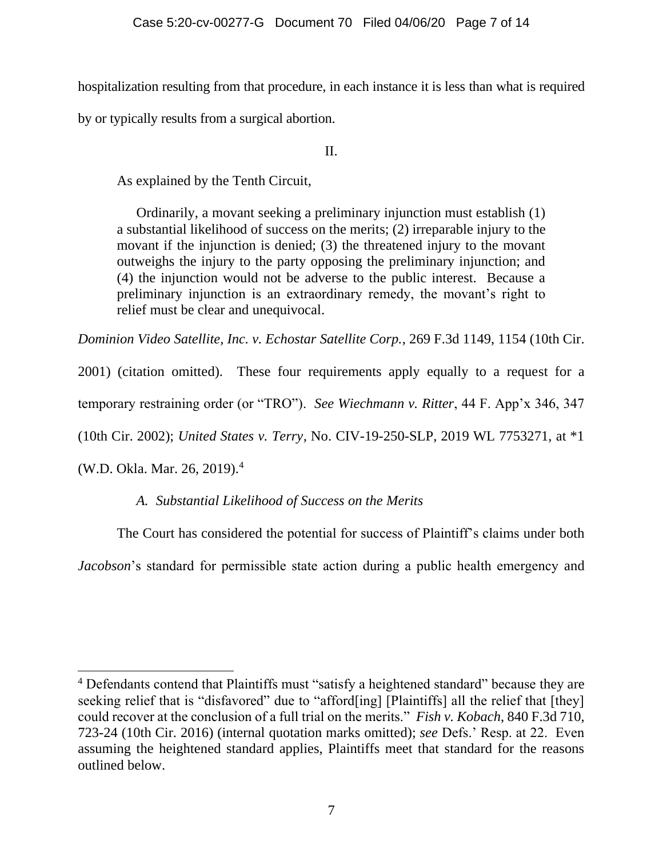hospitalization resulting from that procedure, in each instance it is less than what is required

by or typically results from a surgical abortion.

II.

As explained by the Tenth Circuit,

Ordinarily, a movant seeking a preliminary injunction must establish (1) a substantial likelihood of success on the merits; (2) irreparable injury to the movant if the injunction is denied; (3) the threatened injury to the movant outweighs the injury to the party opposing the preliminary injunction; and (4) the injunction would not be adverse to the public interest. Because a preliminary injunction is an extraordinary remedy, the movant's right to relief must be clear and unequivocal.

*Dominion Video Satellite, Inc. v. Echostar Satellite Corp.*, 269 F.3d 1149, 1154 (10th Cir.

2001) (citation omitted). These four requirements apply equally to a request for a temporary restraining order (or "TRO"). *See Wiechmann v. Ritter*, 44 F. App'x 346, 347 (10th Cir. 2002); *United States v. Terry*, No. CIV-19-250-SLP, 2019 WL 7753271, at \*1 (W.D. Okla. Mar. 26, 2019).<sup>4</sup>

*A. Substantial Likelihood of Success on the Merits*

The Court has considered the potential for success of Plaintiff's claims under both

*Jacobson*'s standard for permissible state action during a public health emergency and

<sup>&</sup>lt;sup>4</sup> Defendants contend that Plaintiffs must "satisfy a heightened standard" because they are seeking relief that is "disfavored" due to "afford[ing] [Plaintiffs] all the relief that [they] could recover at the conclusion of a full trial on the merits." *Fish v. Kobach*, 840 F.3d 710, 723-24 (10th Cir. 2016) (internal quotation marks omitted); *see* Defs.' Resp. at 22. Even assuming the heightened standard applies, Plaintiffs meet that standard for the reasons outlined below.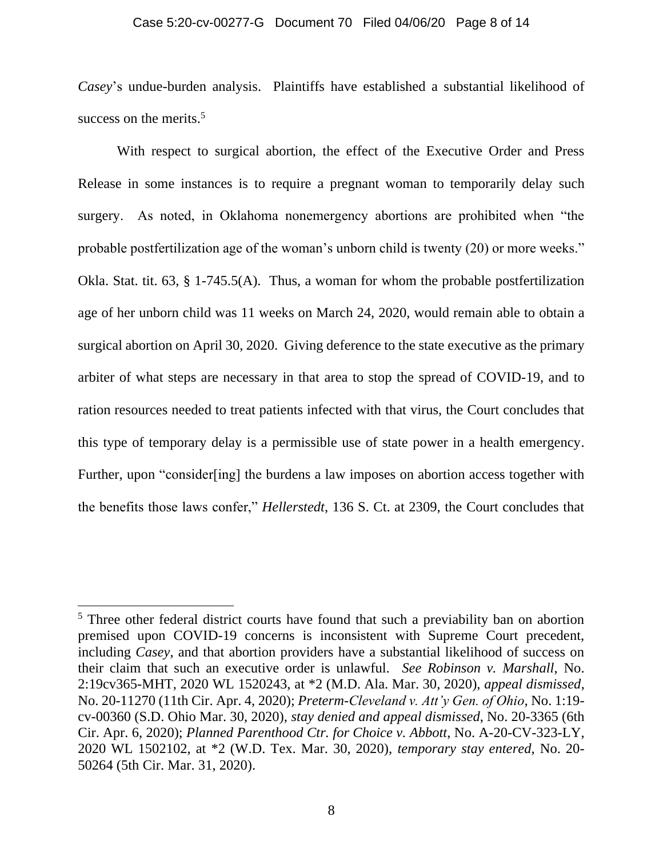### Case 5:20-cv-00277-G Document 70 Filed 04/06/20 Page 8 of 14

*Casey*'s undue-burden analysis. Plaintiffs have established a substantial likelihood of success on the merits.<sup>5</sup>

With respect to surgical abortion, the effect of the Executive Order and Press Release in some instances is to require a pregnant woman to temporarily delay such surgery. As noted, in Oklahoma nonemergency abortions are prohibited when "the probable postfertilization age of the woman's unborn child is twenty (20) or more weeks." Okla. Stat. tit. 63, § 1-745.5(A). Thus, a woman for whom the probable postfertilization age of her unborn child was 11 weeks on March 24, 2020, would remain able to obtain a surgical abortion on April 30, 2020. Giving deference to the state executive as the primary arbiter of what steps are necessary in that area to stop the spread of COVID-19, and to ration resources needed to treat patients infected with that virus, the Court concludes that this type of temporary delay is a permissible use of state power in a health emergency. Further, upon "consider[ing] the burdens a law imposes on abortion access together with the benefits those laws confer," *Hellerstedt*, 136 S. Ct. at 2309, the Court concludes that

<sup>&</sup>lt;sup>5</sup> Three other federal district courts have found that such a previability ban on abortion premised upon COVID-19 concerns is inconsistent with Supreme Court precedent, including *Casey*, and that abortion providers have a substantial likelihood of success on their claim that such an executive order is unlawful. *See Robinson v. Marshall*, No. 2:19cv365-MHT, 2020 WL 1520243, at \*2 (M.D. Ala. Mar. 30, 2020), *appeal dismissed*, No. 20-11270 (11th Cir. Apr. 4, 2020); *Preterm-Cleveland v. Att'y Gen. of Ohio*, No. 1:19 cv-00360 (S.D. Ohio Mar. 30, 2020), *stay denied and appeal dismissed*, No. 20-3365 (6th Cir. Apr. 6, 2020); *Planned Parenthood Ctr. for Choice v. Abbott*, No. A-20-CV-323-LY, 2020 WL 1502102, at \*2 (W.D. Tex. Mar. 30, 2020), *temporary stay entered*, No. 20- 50264 (5th Cir. Mar. 31, 2020).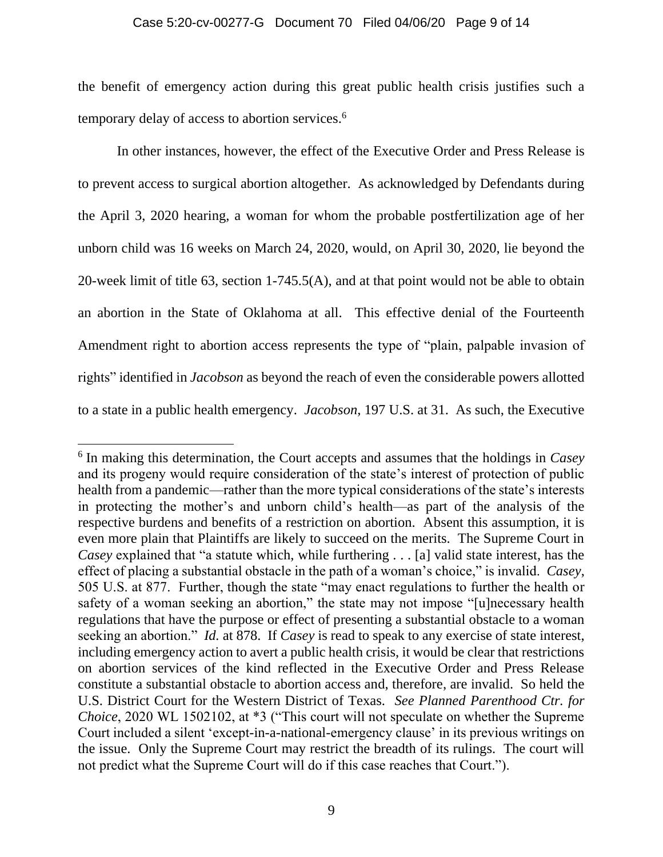### Case 5:20-cv-00277-G Document 70 Filed 04/06/20 Page 9 of 14

the benefit of emergency action during this great public health crisis justifies such a temporary delay of access to abortion services.<sup>6</sup>

In other instances, however, the effect of the Executive Order and Press Release is to prevent access to surgical abortion altogether. As acknowledged by Defendants during the April 3, 2020 hearing, a woman for whom the probable postfertilization age of her unborn child was 16 weeks on March 24, 2020, would, on April 30, 2020, lie beyond the 20-week limit of title 63, section 1-745.5(A), and at that point would not be able to obtain an abortion in the State of Oklahoma at all. This effective denial of the Fourteenth Amendment right to abortion access represents the type of "plain, palpable invasion of rights" identified in *Jacobson* as beyond the reach of even the considerable powers allotted to a state in a public health emergency. *Jacobson*, 197 U.S. at 31. As such, the Executive

<sup>6</sup> In making this determination, the Court accepts and assumes that the holdings in *Casey* and its progeny would require consideration of the state's interest of protection of public health from a pandemic—rather than the more typical considerations of the state's interests in protecting the mother's and unborn child's health—as part of the analysis of the respective burdens and benefits of a restriction on abortion. Absent this assumption, it is even more plain that Plaintiffs are likely to succeed on the merits. The Supreme Court in *Casey* explained that "a statute which, while furthering . . . [a] valid state interest, has the effect of placing a substantial obstacle in the path of a woman's choice," is invalid. *Casey*, 505 U.S. at 877. Further, though the state "may enact regulations to further the health or safety of a woman seeking an abortion," the state may not impose "[u]necessary health regulations that have the purpose or effect of presenting a substantial obstacle to a woman seeking an abortion." *Id.* at 878. If *Casey* is read to speak to any exercise of state interest, including emergency action to avert a public health crisis, it would be clear that restrictions on abortion services of the kind reflected in the Executive Order and Press Release constitute a substantial obstacle to abortion access and, therefore, are invalid. So held the U.S. District Court for the Western District of Texas. *See Planned Parenthood Ctr. for Choice*, 2020 WL 1502102, at \*3 ("This court will not speculate on whether the Supreme Court included a silent 'except-in-a-national-emergency clause' in its previous writings on the issue. Only the Supreme Court may restrict the breadth of its rulings. The court will not predict what the Supreme Court will do if this case reaches that Court.").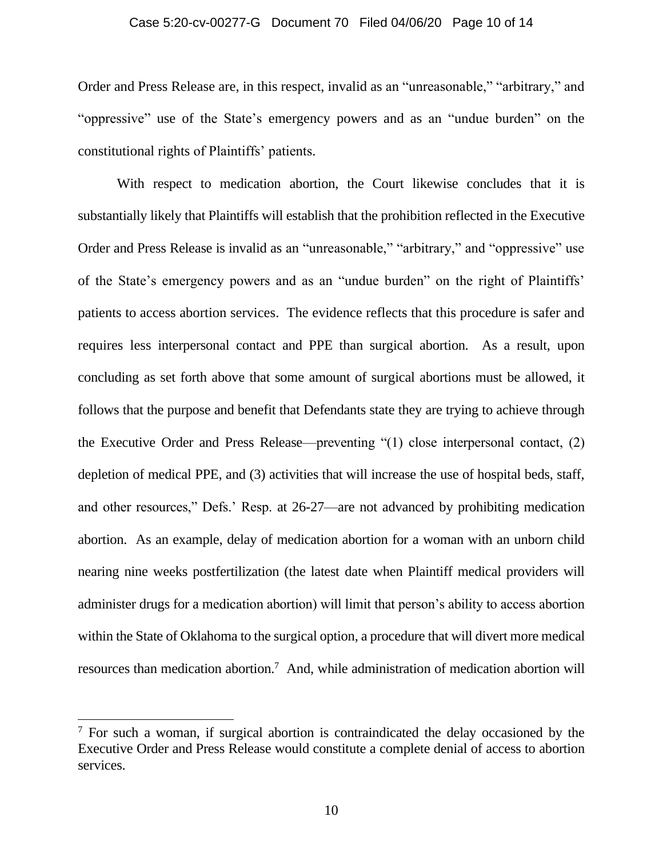### Case 5:20-cv-00277-G Document 70 Filed 04/06/20 Page 10 of 14

Order and Press Release are, in this respect, invalid as an "unreasonable," "arbitrary," and "oppressive" use of the State's emergency powers and as an "undue burden" on the constitutional rights of Plaintiffs' patients.

With respect to medication abortion, the Court likewise concludes that it is substantially likely that Plaintiffs will establish that the prohibition reflected in the Executive Order and Press Release is invalid as an "unreasonable," "arbitrary," and "oppressive" use of the State's emergency powers and as an "undue burden" on the right of Plaintiffs' patients to access abortion services. The evidence reflects that this procedure is safer and requires less interpersonal contact and PPE than surgical abortion. As a result, upon concluding as set forth above that some amount of surgical abortions must be allowed, it follows that the purpose and benefit that Defendants state they are trying to achieve through the Executive Order and Press Release—preventing "(1) close interpersonal contact, (2) depletion of medical PPE, and (3) activities that will increase the use of hospital beds, staff, and other resources," Defs.' Resp. at 26-27—are not advanced by prohibiting medication abortion. As an example, delay of medication abortion for a woman with an unborn child nearing nine weeks postfertilization (the latest date when Plaintiff medical providers will administer drugs for a medication abortion) will limit that person's ability to access abortion within the State of Oklahoma to the surgical option, a procedure that will divert more medical resources than medication abortion.<sup>7</sup> And, while administration of medication abortion will

 $<sup>7</sup>$  For such a woman, if surgical abortion is contraindicated the delay occasioned by the</sup> Executive Order and Press Release would constitute a complete denial of access to abortion services.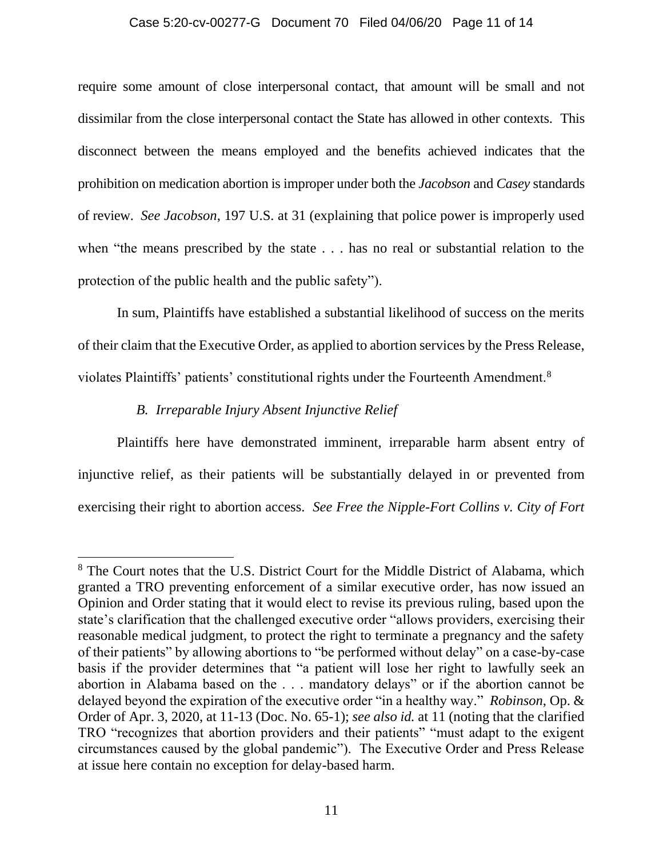### Case 5:20-cv-00277-G Document 70 Filed 04/06/20 Page 11 of 14

require some amount of close interpersonal contact, that amount will be small and not dissimilar from the close interpersonal contact the State has allowed in other contexts. This disconnect between the means employed and the benefits achieved indicates that the prohibition on medication abortion is improper under both the *Jacobson* and *Casey* standards of review. *See Jacobson*, 197 U.S. at 31 (explaining that police power is improperly used when "the means prescribed by the state . . . has no real or substantial relation to the protection of the public health and the public safety").

In sum, Plaintiffs have established a substantial likelihood of success on the merits of their claim that the Executive Order, as applied to abortion services by the Press Release, violates Plaintiffs' patients' constitutional rights under the Fourteenth Amendment.<sup>8</sup>

## *B. Irreparable Injury Absent Injunctive Relief*

Plaintiffs here have demonstrated imminent, irreparable harm absent entry of injunctive relief, as their patients will be substantially delayed in or prevented from exercising their right to abortion access. *See Free the Nipple-Fort Collins v. City of Fort* 

<sup>&</sup>lt;sup>8</sup> The Court notes that the U.S. District Court for the Middle District of Alabama, which granted a TRO preventing enforcement of a similar executive order, has now issued an Opinion and Order stating that it would elect to revise its previous ruling, based upon the state's clarification that the challenged executive order "allows providers, exercising their reasonable medical judgment, to protect the right to terminate a pregnancy and the safety of their patients" by allowing abortions to "be performed without delay" on a case-by-case basis if the provider determines that "a patient will lose her right to lawfully seek an abortion in Alabama based on the . . . mandatory delays" or if the abortion cannot be delayed beyond the expiration of the executive order "in a healthy way." *Robinson*, Op. & Order of Apr. 3, 2020, at 11-13 (Doc. No. 65-1); *see also id.* at 11 (noting that the clarified TRO "recognizes that abortion providers and their patients" "must adapt to the exigent circumstances caused by the global pandemic"). The Executive Order and Press Release at issue here contain no exception for delay-based harm.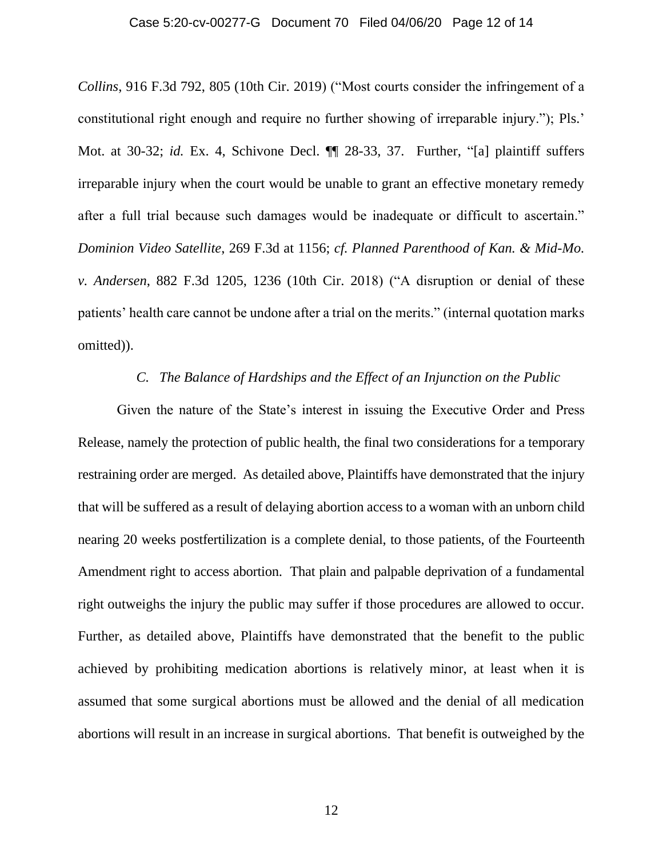#### Case 5:20-cv-00277-G Document 70 Filed 04/06/20 Page 12 of 14

*Collins*, 916 F.3d 792, 805 (10th Cir. 2019) ("Most courts consider the infringement of a constitutional right enough and require no further showing of irreparable injury."); Pls.' Mot. at 30-32; *id.* Ex. 4, Schivone Decl. **[1]** 28-33, 37. Further, "[a] plaintiff suffers irreparable injury when the court would be unable to grant an effective monetary remedy after a full trial because such damages would be inadequate or difficult to ascertain." *Dominion Video Satellite*, 269 F.3d at 1156; *cf. Planned Parenthood of Kan. & Mid-Mo. v. Andersen*, 882 F.3d 1205, 1236 (10th Cir. 2018) ("A disruption or denial of these patients' health care cannot be undone after a trial on the merits." (internal quotation marks omitted)).

## *C. The Balance of Hardships and the Effect of an Injunction on the Public*

Given the nature of the State's interest in issuing the Executive Order and Press Release, namely the protection of public health, the final two considerations for a temporary restraining order are merged. As detailed above, Plaintiffs have demonstrated that the injury that will be suffered as a result of delaying abortion access to a woman with an unborn child nearing 20 weeks postfertilization is a complete denial, to those patients, of the Fourteenth Amendment right to access abortion. That plain and palpable deprivation of a fundamental right outweighs the injury the public may suffer if those procedures are allowed to occur. Further, as detailed above, Plaintiffs have demonstrated that the benefit to the public achieved by prohibiting medication abortions is relatively minor, at least when it is assumed that some surgical abortions must be allowed and the denial of all medication abortions will result in an increase in surgical abortions. That benefit is outweighed by the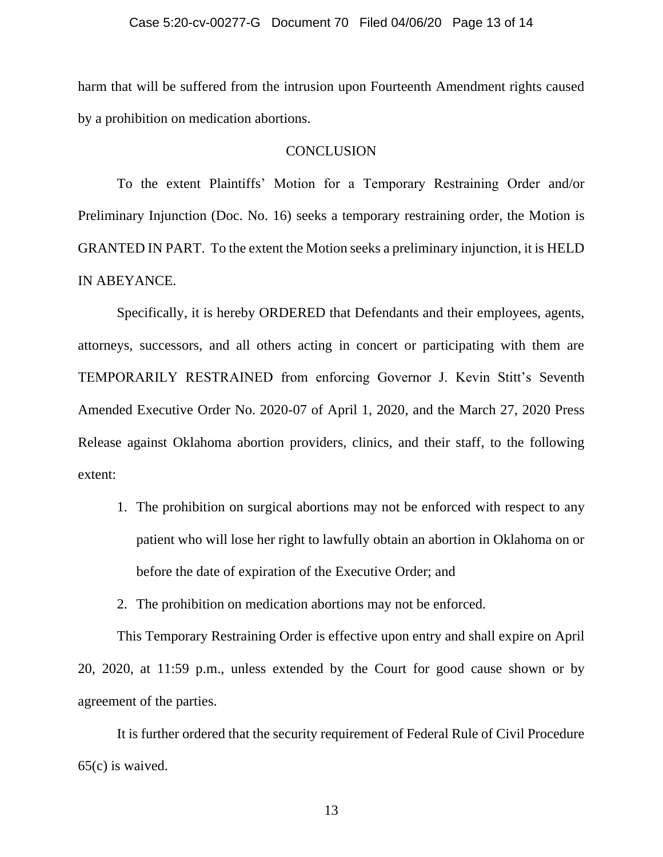### Case 5:20-cv-00277-G Document 70 Filed 04/06/20 Page 13 of 14

harm that will be suffered from the intrusion upon Fourteenth Amendment rights caused by a prohibition on medication abortions.

### **CONCLUSION**

To the extent Plaintiffs' Motion for a Temporary Restraining Order and/or Preliminary Injunction (Doc. No. 16) seeks a temporary restraining order, the Motion is GRANTED IN PART. To the extent the Motion seeks a preliminary injunction, it is HELD IN ABEYANCE.

Specifically, it is hereby ORDERED that Defendants and their employees, agents, attorneys, successors, and all others acting in concert or participating with them are TEMPORARILY RESTRAINED from enforcing Governor J. Kevin Stitt's Seventh Amended Executive Order No. 2020-07 of April 1, 2020, and the March 27, 2020 Press Release against Oklahoma abortion providers, clinics, and their staff, to the following extent:

1. The prohibition on surgical abortions may not be enforced with respect to any patient who will lose her right to lawfully obtain an abortion in Oklahoma on or before the date of expiration of the Executive Order; and

2. The prohibition on medication abortions may not be enforced.

This Temporary Restraining Order is effective upon entry and shall expire on April 20, 2020, at 11:59 p.m., unless extended by the Court for good cause shown or by agreement of the parties.

It is further ordered that the security requirement of Federal Rule of Civil Procedure 65(c) is waived.